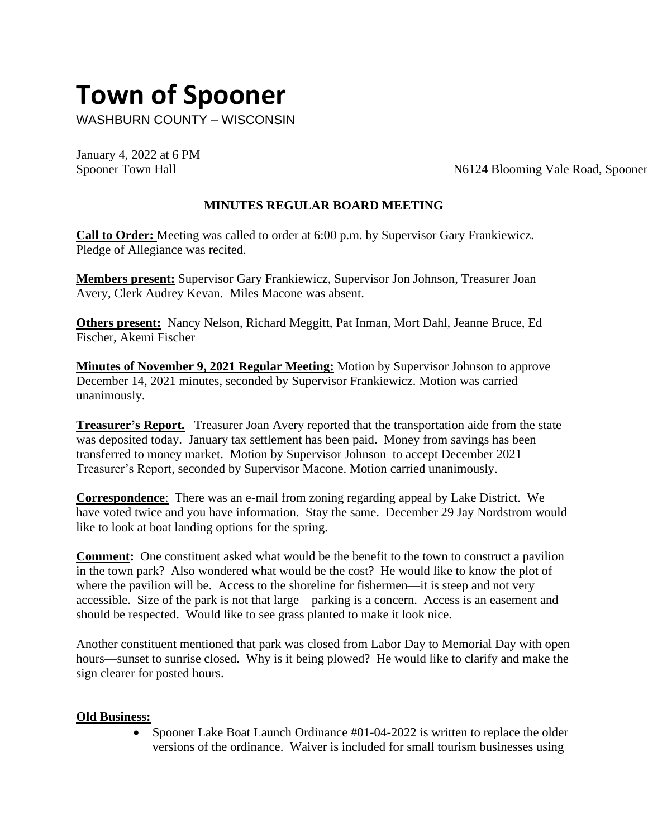# **Town of Spooner**

WASHBURN COUNTY – WISCONSIN

January 4, 2022 at 6 PM

Spooner Town Hall N6124 Blooming Vale Road, Spooner

# **MINUTES REGULAR BOARD MEETING**

**Call to Order:** Meeting was called to order at 6:00 p.m. by Supervisor Gary Frankiewicz. Pledge of Allegiance was recited.

**Members present:** Supervisor Gary Frankiewicz, Supervisor Jon Johnson, Treasurer Joan Avery, Clerk Audrey Kevan. Miles Macone was absent.

**Others present:** Nancy Nelson, Richard Meggitt, Pat Inman, Mort Dahl, Jeanne Bruce, Ed Fischer, Akemi Fischer

**Minutes of November 9, 2021 Regular Meeting:** Motion by Supervisor Johnson to approve December 14, 2021 minutes, seconded by Supervisor Frankiewicz. Motion was carried unanimously.

**Treasurer's Report.** Treasurer Joan Avery reported that the transportation aide from the state was deposited today. January tax settlement has been paid. Money from savings has been transferred to money market. Motion by Supervisor Johnson to accept December 2021 Treasurer's Report, seconded by Supervisor Macone. Motion carried unanimously.

**Correspondence**: There was an e-mail from zoning regarding appeal by Lake District. We have voted twice and you have information. Stay the same. December 29 Jay Nordstrom would like to look at boat landing options for the spring.

**Comment:** One constituent asked what would be the benefit to the town to construct a pavilion in the town park? Also wondered what would be the cost? He would like to know the plot of where the pavilion will be. Access to the shoreline for fishermen—it is steep and not very accessible. Size of the park is not that large—parking is a concern. Access is an easement and should be respected. Would like to see grass planted to make it look nice.

Another constituent mentioned that park was closed from Labor Day to Memorial Day with open hours—sunset to sunrise closed. Why is it being plowed? He would like to clarify and make the sign clearer for posted hours.

## **Old Business:**

• Spooner Lake Boat Launch Ordinance #01-04-2022 is written to replace the older versions of the ordinance. Waiver is included for small tourism businesses using